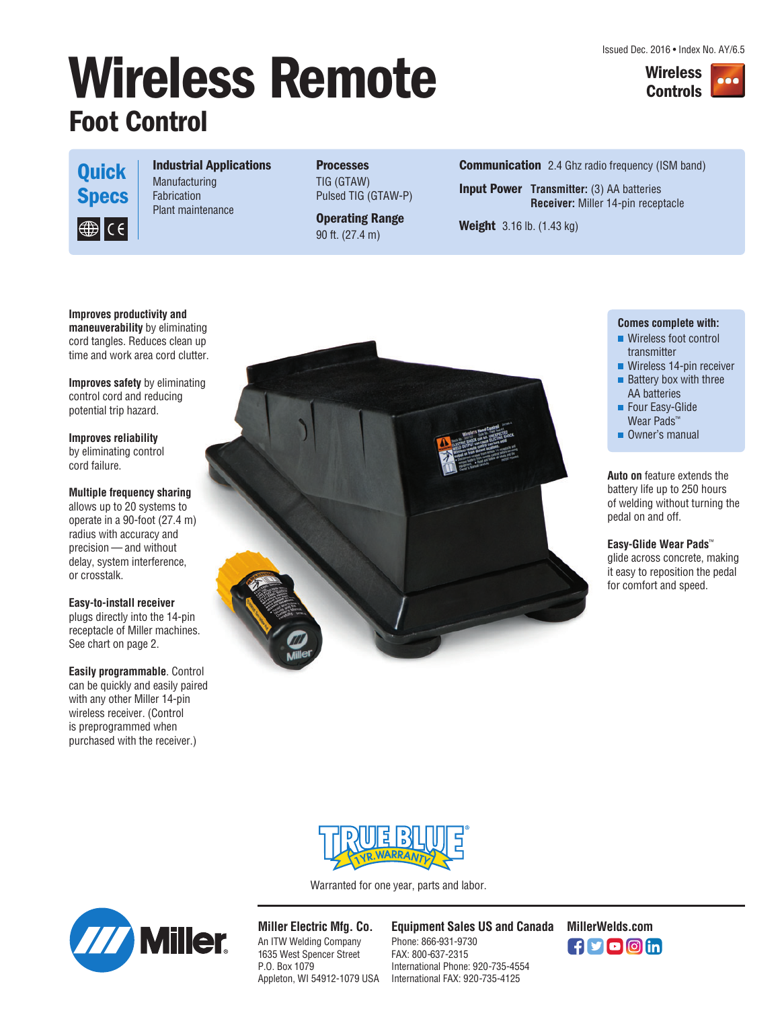Issued Dec. 2016 • Index No. AY/6.5





**Quick Specs**  $\bigcirc \mathsf{F}[\mathsf{C} \in \mathsf{C}]$ 

### **Industrial Applications**

**Manufacturing** Fabrication Plant maintenance

**Processes** TIG (GTAW) Pulsed TIG (GTAW-P)

**Operating Range** 90 ft. (27.4 m)

**Communication** 2.4 Ghz radio frequency (ISM band)

**Input Power Transmitter:** (3) AA batteries **Receiver:** Miller 14-pin receptacle

**Weight** 3.16 lb. (1.43 kg)

#### **Improves productivity and maneuverability** by eliminating cord tangles. Reduces clean up time and work area cord clutter.

**Improves safety** by eliminating control cord and reducing potential trip hazard.

**Improves reliability** by eliminating control cord failure.

#### **Multiple frequency sharing**

allows up to 20 systems to operate in a 90-foot (27.4 m) radius with accuracy and precision — and without delay, system interference, or crosstalk.

#### **Easy-to-install receiver**

plugs directly into the 14-pin receptacle of Miller machines. See chart on page 2.

**Easily programmable**. Control can be quickly and easily paired with any other Miller 14-pin wireless receiver. (Control is preprogrammed when purchased with the receiver.)



#### **Comes complete with:**

- **Wireless foot control** transmitter
- **Wireless 14-pin receiver**
- $\blacksquare$  Battery box with three AA batteries
- **Four Easy-Glide** Wear Pads<sup>™</sup>
- Owner's manual

**Auto on** feature extends the battery life up to 250 hours of welding without turning the pedal on and off.

**Easy-Glide Wear Pads**™ glide across concrete, making it easy to reposition the pedal for comfort and speed.



Warranted for one year, parts and labor.



**Miller Electric Mfg. Co.** An ITW Welding Company 1635 West Spencer Street P.O. Box 1079 Appleton, WI 54912-1079 USA

**Equipment Sales US and Canada MillerWelds.com**

Phone: 866-931-9730 FAX: 800-637-2315 International Phone: 920-735-4554 International FAX: 920-735-4125